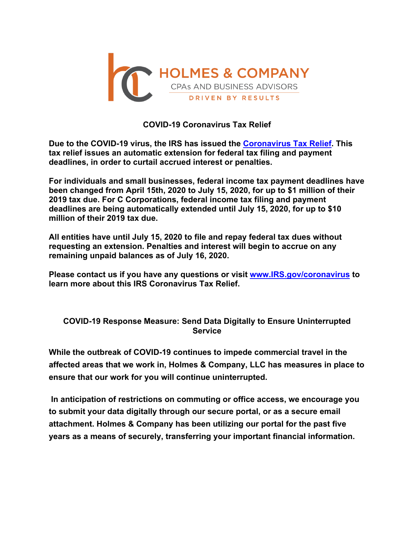

## **COVID-19 Coronavirus Tax Relief**

**Due to the COVID-19 virus, the IRS has issued the Coronavirus Tax Relief. This tax relief issues an automatic extension for federal tax filing and payment deadlines, in order to curtail accrued interest or penalties.**

**For individuals and small businesses, federal income tax payment deadlines have been changed from April 15th, 2020 to July 15, 2020, for up to \$1 million of their 2019 tax due. For C Corporations, federal income tax filing and payment deadlines are being automatically extended until July 15, 2020, for up to \$10 million of their 2019 tax due.**

**All entities have until July 15, 2020 to file and repay federal tax dues without requesting an extension. Penalties and interest will begin to accrue on any remaining unpaid balances as of July 16, 2020.**

**Please contact us if you have any questions or visit www.IRS.gov/coronavirus to learn more about this IRS Coronavirus Tax Relief.**

## **COVID-19 Response Measure: Send Data Digitally to Ensure Uninterrupted Service**

**While the outbreak of COVID-19 continues to impede commercial travel in the affected areas that we work in, Holmes & Company, LLC has measures in place to ensure that our work for you will continue uninterrupted.**

**In anticipation of restrictions on commuting or office access, we encourage you to submit your data digitally through our secure portal, or as a secure email attachment. Holmes & Company has been utilizing our portal for the past five years as a means of securely, transferring your important financial information.**